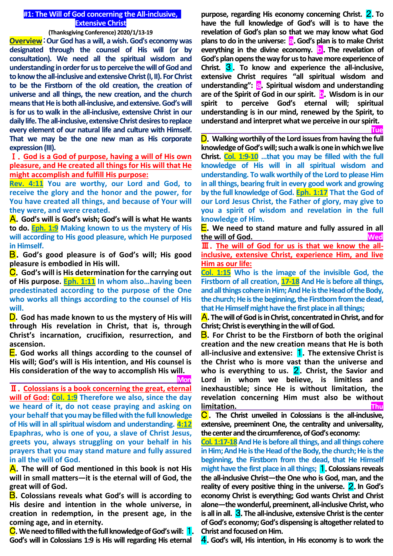# **#1: The Will of God concerning the All-inclusive, Extensive Christ**

**(Thanksgiving Conference) 2020/1/13-19**

**Overview**:**Our God has a will, a wish. God's economy was designated through the counsel of His will (or by consultation). We need all the spiritual wisdom and understanding in order for us to perceive the will of God and to know the all-inclusive and extensive Christ(I, II). For Christ to be the Firstborn of the old creation, the creation of universe and all things, the new creation, and the church means that He is both all-inclusive, and extensive. God's will is for us to walk in the all-inclusive, extensive Christ in our daily life. The all-inclusive, extensive Christ desires to replace every element of our natural life and culture with Himself. That we may be the one new man as His corporate expression (III).**

Ⅰ.**God is a God of purpose, having a will of His own pleasure, and He created all things for His will that He might accomplish and fulfill His purpose:**

**Rev. 4:11 You are worthy, our Lord and God, to receive the glory and the honor and the power, for You have created all things, and because of Your will they were, and were created.**

A.**God's will is God's wish; God's will is what He wants to do. Eph. 1:9 Making known to us the mystery of His will according to His good pleasure, which He purposed in Himself.**

B.**God's good pleasure is of God's will; His good pleasure is embodied in His will.**

C.**God's will is His determination for the carrying out of His purpose. Eph. 1:11 In whom also…having been predestinated according to the purpose of the One who works all things according to the counsel of His will.**

D.**God has made known to us the mystery of His will through His revelation in Christ, that is, through Christ's incarnation, crucifixion, resurrection, and ascension.**

E.**God works all things according to the counsel of His will; God's will is His intention, and His counsel is His consideration of the way to accomplish His will.**

 **Mon** Ⅱ.**Colossians is a book concerning the great, eternal will of God: Col. 1:9 Therefore we also, since the day we heard of it, do not cease praying and asking on your behalf that you may be filled with the full knowledge of His will in all spiritual wisdom and understanding. 4:12 Epaphras, who is one of you, a slave of Christ Jesus, greets you, always struggling on your behalf in his prayers that you may stand mature and fully assured in all the will of God.**

A.**The will of God mentioned in this book is not His will in small matters—it is the eternal will of God, the great will of God.**

B.**Colossians reveals what God's will is according to His desire and intention in the whole universe, in creation in redemption, in the present age, in the coming age, and in eternity.**

C.**We need to filled with the full knowledge of God's will:** 1. **God's will in Colossians 1:9 is His will regarding His eternal** 

**purpose, regarding His economy concerning Christ.** 2.**To have the full knowledge of God's will is to have the revelation of God's plan so that we may know what God plans to do in the universe: a.** God's plan is to make Christ **everything in the divine economy.** b.**The revelation of God's plan opens the way for us to have more experience of Christ.** 3 . **To know and experience the all-inclusive, extensive Christ requires "all spiritual wisdom and understanding":** a.**Spiritual wisdom and understanding are of the Spirit of God in our spirit.** b.**Wisdom is in our spirit to perceive God's eternal will; spiritual understanding is in our mind, renewed by the Spirit, to understand and interpret what we perceive in our spirit.**

**Tue**

D.**Walking worthily of the Lord issues from having the full knowledge of God's will; such a walk is one in which we live Christ. Col. 1:9-10 …that you may be filled with the full knowledge of His will in all spiritual wisdom and understanding. To walk worthily of the Lord to please Him in all things, bearing fruit in every good work and growing by the full knowledge of God. Eph. 1:17 That the God of our Lord Jesus Christ, the Father of glory, may give to you a spirit of wisdom and revelation in the full knowledge of Him.**

E.**We need to stand mature and fully assured in all the will of God. Wed**

Ⅲ.**The will of God for us is that we know the allinclusive, extensive Christ, experience Him, and live Him as our life:**

**Col. 1:15 Who is the image of the invisible God, the Firstborn of all creation, 17-18 And He is before all things, and all things cohere in Him; And He is the Head of the Body, the church; He is the beginning, the Firstborn from the dead, that He Himself might have the first place in all things;**

A.**The will of God is in Christ, concentrated in Christ, and for Christ; Christ is everything in the will of God.**

B.**For Christ to be the Firstborn of both the original creation and the new creation means that He is both all-inclusive and extensive:** 1.**The extensive Christ is the Christ who is more vast than the universe and**  who is everything to us. **2**. Christ, the Savior and **Lord in whom we believe, is limitless and inexhaustible; since He is without limitation, the revelation concerning Him must also be without limitation. Thu**

C .**The Christ unveiled in Colossians is the all-inclusive, extensive, preeminent One, the centrality and universality, the center and the circumference, of God's economy:**

**Col. 1:17-18** And He is before all things, and all things cohere **in Him; And He is the Head of the Body, the church; He is the beginning, the Firstborn from the dead, that He Himself might have the first place in all things;** 1.**Colossians reveals the all-inclusive Christ—the One who is God, man, and the reality of every positive thing in the universe.** 2.**In God's economy Christ is everything; God wants Christ and Christ alone—the wonderful, preeminent, all-inclusive Christ, who is all in all.** 3.**The all-inclusive, extensive Christ is the center of God's economy; God's dispensing is altogether related to Christ and focused on Him.**

4.**God's will, His intention, in His economy is to work the**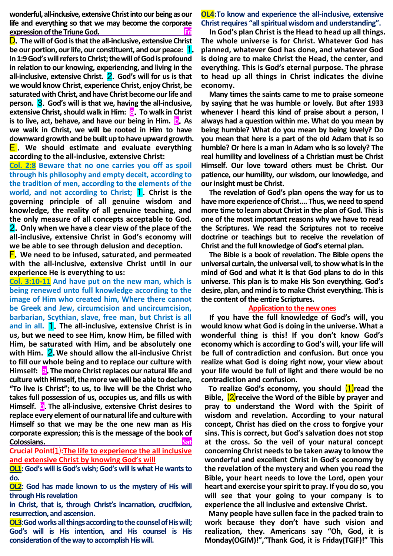**wonderful, all-inclusive, extensive Christ into our being as our life and everything so that we may become the corporate expression of the Triune God.** 

D.**The will of God is that the all-inclusive, extensive Christ be our portion, our life, our constituent, and our peace:** 1. **In 1:9 God's will refers to Christ; the will of God is profound in relation to our knowing, experiencing, and living in the all-inclusive, extensive Christ.** 2.**God's will for us is that we would know Christ, experience Christ, enjoy Christ, be saturated with Christ, and have Christ become our life and person.** 3.**God's will is that we, having the all-inclusive, extensive Christ, should walk in Him: a.** To walk in Christ **is to live, act, behave, and have our being in Him. <b>D.** As **we walk in Christ, we will be rooted in Him to have downward growth and be built up to have upward growth.** E . **We should estimate and evaluate everything according to the all-inclusive, extensive Christ:**

**Col. 2:8 Beware that no one carries you off as spoil through his philosophy and empty deceit, according to the tradition of men, according to the elements of the world, and not according to Christ; 1.** Christ is the **governing principle of all genuine wisdom and knowledge, the reality of all genuine teaching, and the only measure of all concepts acceptable to God.** 2.**Only when we have a clear view of the place of the all-inclusive, extensive Christ in God's economy will we be able to see through delusion and deception.**

F.**We need to be infused, saturated, and permeated with the all-inclusive, extensive Christ until in our experience He is everything to us:** 

**Col. 3:10-11 And have put on the new man, which is being renewed unto full knowledge according to the image of Him who created him, Where there cannot be Greek and Jew, circumcision and uncircumcision, barbarian, Scythian, slave, free man, but Christ is all and in all.** 1.**The all-inclusive, extensive Christ is in us, but we need to see Him, know Him, be filled with Him, be saturated with Him, and be absolutely one with Him.** 2.**We should allow the all-inclusive Christ to fill our whole being and to replace our culture with Himself: a.** The more Christ replaces our natural life and **culture with Himself, the more we will be able to declare, "To live is Christ"; to us, to live will be the Christ who takes full possession of us, occupies us, and fills us with Himself.** b.**The all-inclusive, extensive Christ desires to replace every element of our natural life and culture with Himself so that we may be the one new man as His corporate expression; this is the message of the book of Colossians.**<br> **Satisfying the Satisfying Satisfying Satisfying Satisfying Satisfying Satisfying Satisfying Satisfying Satisfying Satisfying Satisfying Satisfying Satisfying Satisfying Satisfying Satisfying Satisfying Sati** 

**Crucial Point**⑴**:The life to experience the all inclusive and extensive Christ by knowing God's will**

**OL1:God's will is God's wish; God's will is what He wants to do.**

**OL2: God has made known to us the mystery of His will through His revelation**

**in Christ, that is, through Christ's incarnation, crucifixion, resurrection, and ascension.**

**OL3:God works all things according to the counsel of His will; God's will is His intention, and His counsel is His consideration of the way to accomplish His will.**

## **OL4:To know and experience the all-inclusive, extensive Christ requires "all spiritual wisdom and understanding".**

**In God's plan Christ is the Head to head up all things. The whole universe is for Christ. Whatever God has planned, whatever God has done, and whatever God is doing are to make Christ the Head, the center, and everything. This is God's eternal purpose. The phrase to head up all things in Christ indicates the divine economy.** 

**Many times the saints came to me to praise someone by saying that he was humble or lovely. But after 1933 whenever I heard this kind of praise about a person, I always had a question within me. What do you mean by being humble? What do you mean by being lovely? Do you mean that here is a part of the old Adam that is so humble? Or here is a man in Adam who is so lovely? The real humility and loveliness of a Christian must be Christ Himself. Our love toward others must be Christ. Our patience, our humility, our wisdom, our knowledge, and our insight must be Christ.**

**The revelation of God's plan opens the way for us to have more experience of Christ.... Thus, we need to spend more time to learn about Christ in the plan of God. This is one of the most important reasons why we have to read the Scriptures. We read the Scriptures not to receive doctrine or teachings but to receive the revelation of Christ and the full knowledge of God's eternal plan.**

**The Bible is a book of revelation. The Bible opens the universal curtain,the universal veil, to show what is in the mind of God and what it is that God plans to do in this universe. This plan is to make His Son everything. God's desire, plan, and mind is to make Christ everything. This is the content of the entire Scriptures.** 

#### **Application to the new ones**

**If you have the full knowledge of God's will, you would know what God is doing in the universe. What a wonderful thing is this! If you don't know God's economy which is according to God's will, your life will be full of contradiction and confusion. But once you realize what God is doing right now, your view about your life would be full of light and there would be no contradiction and confusion.** 

**To realize God's economy, you should** ⑴**read the Bible,** ⑵**receive the Word of the Bible by prayer and pray to understand the Word with the Spirit of wisdom and revelation. According to your natural concept, Christ has died on the cross to forgive your sins. This is correct, but God's salvation does not stop at the cross. So the veil of your natural concept concerning Christ needs to be taken away to know the wonderful and excellent Christ in God's economy by the revelation of the mystery and when you read the Bible, your heart needs to love the Lord, open your heart and exercise your spirit to pray. If you do so, you will see that your going to your company is to experience the all inclusive and extensive Christ.** 

**Many people have sullen face in the packed train to work because they don't have such vision and realization, they. Americans say "Oh, God, it is Monday(OGIM)!","Thank God, it is Friday(TGIF)!" This**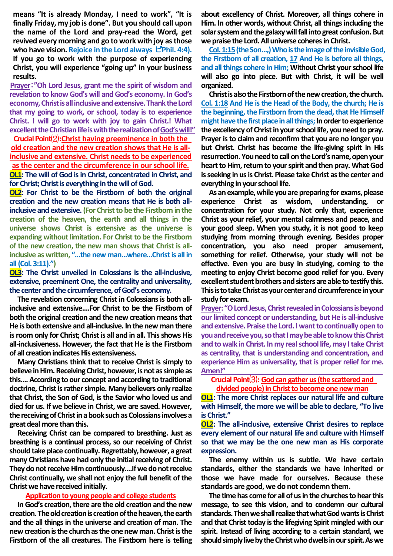**means "It is already Monday, I need to work", "It is finally Friday, my job is done". But you should call upon the name of the Lord and pray-read the Word, get revived every morning and go to work with joy as those who have vision. Rejoice in the Lord always** ピ**Phil. 4:4). If you go to work with the purpose of experiencing Christ, you will experience "going up" in your business results.**

**Prayer**:**"Oh Lord Jesus, grant me the spirit of wisdom and revelation to know God's will and God's economy. In God's economy, Christ is all inclusive and extensive. Thank the Lord that my going to work, or school, today is to experience Christ. I will go to work with joy to gain Christ.! What excellent the Christian life is with the realization of God's will!"** 

**CrucialPoint**⑵**:Christ having preeminence in both the old creation and the new creation shows that He is allinclusive and extensive. Christ needs to be experienced as the center and the circumference in our school life. OL1: The will of God is in Christ, concentrated in Christ, and for Christ; Christ is everything in the will of God.**

**OL2: For Christ to be the Firstborn of both the original creation and the new creation means that He is both allinclusive and extensive. (For Christ to be the Firstborn in the creation of the heaven, the earth and all things in the universe shows Christ is extensive as the universe is expanding without limitation. For Christ to be the Firstborn of the new creation, the new man shows that Christ is allinclusive as written, "…the new man…where…Christ is all in all (Col. 3:11).")**

**OL3: The Christ unveiled in Colossians is the all-inclusive, extensive, preeminent One, the centrality and universality, the center and the circumference, of God's economy.**

**The revelation concerning Christ in Colossians is both allinclusive and extensive.…For Christ to be the Firstborn of both the original creation and the new creation means that He is both extensive and all-inclusive. In the new man there is room only for Christ; Christ is all and in all. This shows His all-inclusiveness. However, the fact that He is the Firstborn of all creation indicates His extensiveness.**

**Many Christians think that to receive Christ is simply to believe in Him. Receiving Christ, however, is not as simple as this.... According to our concept and according to traditional doctrine, Christ is rather simple. Many believers only realize that Christ, the Son of God, is the Savior who loved us and died for us. If we believe in Christ, we are saved. However, the receiving of Christ in a book such as Colossians involves a great deal more than this.**

**Receiving Christ can be compared to breathing. Just as breathing is a continual process, so our receiving of Christ should take place continually. Regrettably, however, a great many Christians have had only the initial receiving of Christ. They do not receive Him continuously.…If we do not receive Christ continually, we shall not enjoy the full benefit of the Christ we have received initially.**

### **Application to young people and college students**

**In God's creation, there are the old creation and the new creation. The old creation is creation of the heaven, the earth and the all things in the universe and creation of man. The new creation is the church as the one new man. Christ is the Firstborn of the all creatures. The Firstborn here is telling** 

**about excellency of Christ. Moreover, all things cohere in Him. In other words, without Christ, all things including the solar system and the galaxy will fall into great confusion. But**  we praise the Lord. All universe coheres in Christ.

**Col. 1:15(the Son…,) Who is the image of the invisible God, the Firstborn of all creation, 17 And He is before all things, and all things cohere in Him; Without Christ your school life**  will also go into piece. But with Christ, it will be well **organized.**

**Christ is also the Firstborn of the new creation, the church. Col. 1:18 And He is the Head of the Body, the church; He is the beginning, the Firstborn from the dead, that He Himself might have the first place in all things; In order to experience the excellency of Christ in your school life, you need to pray. Prayer is to claim and reconfirm that you are no longer you but Christ. Christ has become the life-giving spirit in His resurrection. You need to call on the Lord's name, open your heart to Him, return to your spirit and then pray. What God is seeking in us is Christ. Please take Christ as the center and everything in your school life.**

**As an example, while you are preparing for exams, please**  experience Christ as wisdom, understanding, **concentration for your study. Not only that, experience Christ as your relief, your mental calmness and peace, and your good sleep. When you study, it is not good to keep studying from morning through evening. Besides proper concentration, you also need proper amusement, something for relief. Otherwise, your study will not be effective. Even you are busy in studying, coming to the meeting to enjoy Christ become good relief for you. Every excellent student brothers and sisters are able to testify this. Thisis to take Christ as your center and circumference in your study for exam.**

**Prayer: "O Lord Jesus, Christ revealed in Colossians is beyond our limited concept or understanding, but He is all-inclusive and extensive. Praise the Lord. I want to continually open to you and receive you, so that I may be able to know this Christ and to walk in Christ. In my real school life, may I take Christ as centrality, that is understanding and concentration, and experience Him as universality, that is proper relief for me. Amen!"** 

**Crucial Point**⑶**: God can gather us(the scattered and**  divided people) in Christ to become one new man

**OL1:** The more Christ replaces our natural life and culture **with Himself, the more we will be able to declare, "To live is Christ."**

**OL2: The all-inclusive, extensive Christ desires to replace every element of our natural life and culture with Himself so that we may be the one new man as His corporate expression.**

**The enemy within us is subtle. We have certain standards, either the standards we have inherited or those we have made for ourselves. Because these standards are good, we do not condemn them.**

**The time has come for all of us in the churches to hear this message, to see this vision, and to condemn our cultural**  standards. Then we shall realize that what God wants is Christ **and that Christ today is the lifegiving Spirit mingled with our spirit. Instead of living according to a certain standard, we should simply live by the Christ who dwells in our spirit. Aswe**